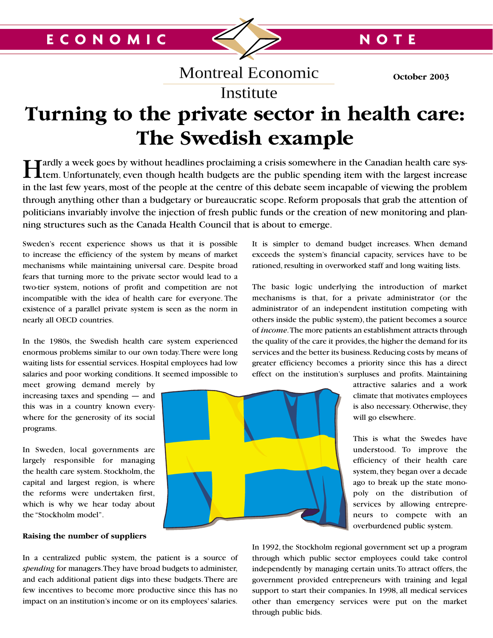**October 2003**

# **Turning to the private sector in health care: The Swedish example** g to the private sector in heal

Montreal Economic

Institute

Hardly a week goes by without headlines proclaiming a crisis somewhere in the Canadian health care sys-<br>tem. Unfortunately, even though health budgets are the public spending item with the largest increase in the last few years, most of the people at the centre of this debate seem incapable of viewing the problem through anything other than a budgetary or bureaucratic scope. Reform proposals that grab the attention of politicians invariably involve the injection of fresh public funds or the creation of new monitoring and planning structures such as the Canada Health Council that is about to emerge.

Sweden's recent experience shows us that it is possible to increase the efficiency of the system by means of market mechanisms while maintaining universal care. Despite broad fears that turning more to the private sector would lead to a two-tier system, notions of profit and competition are not incompatible with the idea of health care for everyone. The existence of a parallel private system is seen as the norm in nearly all OECD countries.

In the 1980s, the Swedish health care system experienced enormous problems similar to our own today.There were long waiting lists for essential services. Hospital employees had low salaries and poor working conditions. It seemed impossible to

meet growing demand merely by increasing taxes and spending — and this was in a country known everywhere for the generosity of its social programs.

In Sweden, local governments are largely responsible for managing the health care system. Stockholm, the capital and largest region, is where the reforms were undertaken first, which is why we hear today about the "Stockholm model".

# **Raising the number of suppliers**

In a centralized public system, the patient is a source of *spending* for managers.They have broad budgets to administer, and each additional patient digs into these budgets.There are few incentives to become more productive since this has no impact on an institution's income or on its employees' salaries.

It is simpler to demand budget increases. When demand exceeds the system's financial capacity, services have to be rationed, resulting in overworked staff and long waiting lists.

The basic logic underlying the introduction of market mechanisms is that, for a private administrator (or the administrator of an independent institution competing with others inside the public system), the patient becomes a source of *income*.The more patients an establishment attracts through the quality of the care it provides, the higher the demand for its services and the better its business. Reducing costs by means of greater efficiency becomes a priority since this has a direct effect on the institution's surpluses and profits. Maintaining



attractive salaries and a work climate that motivates employees is also necessary. Otherwise, they will go elsewhere.

This is what the Swedes have understood. To improve the efficiency of their health care system, they began over a decade ago to break up the state monopoly on the distribution of services by allowing entrepreneurs to compete with an overburdened public system.

In 1992, the Stockholm regional government set up a program through which public sector employees could take control independently by managing certain units.To attract offers, the government provided entrepreneurs with training and legal support to start their companies. In 1998, all medical services other than emergency services were put on the market through public bids.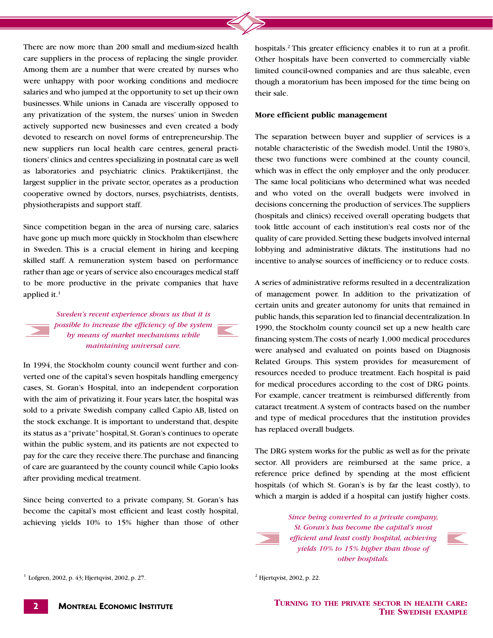There are now more than 200 small and medium-sized health care suppliers in the process of replacing the single provider. care suppliers in the process of replacing the single provider. Other hospitals have Among them are a number that were created by nurses who limited council-own were unhappy with poor working conditions and mediocre were unhappy with poor working conditions and mediocre though a m<br>salaries and who jumped at the opportunity to set up their own their sale. businesses. While unions in Canada are viscerally opposed to any privatization of the system, the nurses' union in Sweden actively supported new businesses and even created a body devoted to research on novel forms of entrepreneurship. The new suppliers run local health care centres, general practitioners'clinics and centres specializing in postnatal care as well as laboratories and psychiatric clinics. Praktikertjänst, the largest supplier in the private sector, operates as a production cooperative owned by doctors, nurses, psychiatrists, dentists, physiotherapists and support staff.

Since competition began in the area of nursing care, salaries have gone up much more quickly in Stockholm than elsewhere in Sweden. This is a crucial element in hiring and keeping skilled staff. A remuneration system based on performance rather than age or years of service also encourages medical staff to be more productive in the private companies that have applied it.1

> *Sweden's recent experience shows us that it is possible to increase the efficiency of the system by means of market mechanisms while maintaining universal care.*



In 1994, the Stockholm county council went further and converted one of the capital's seven hospitals handling emergency cases, St. Goran's Hospital, into an independent corporation with the aim of privatizing it. Four years later, the hospital was sold to a private Swedish company called Capio AB, listed on the stock exchange. It is important to understand that, despite its status as a "private"hospital, St. Goran's continues to operate within the public system, and its patients are not expected to pay for the care they receive there.The purchase and financing of care are guaranteed by the county council while Capio looks after providing medical treatment.

Since being converted to a private company, St. Goran's has become the capital's most efficient and least costly hospital, achieving yields 10% to 15% higher than those of other

hospitals.2 This greater efficiency enables it to run at a profit. Other hospitals have been converted to commercially viable limited council-owned companies and are thus saleable, even though a moratorium has been imposed for the time being on their sale.

## **More efficient public management**

The separation between buyer and supplier of services is a notable characteristic of the Swedish model. Until the 1980's, these two functions were combined at the county council, which was in effect the only employer and the only producer. The same local politicians who determined what was needed and who voted on the overall budgets were involved in decisions concerning the production of services.The suppliers (hospitals and clinics) received overall operating budgets that took little account of each institution's real costs nor of the quality of care provided.Setting these budgets involved internal lobbying and administrative diktats. The institutions had no incentive to analyse sources of inefficiency or to reduce costs.

A series of administrative reforms resulted in a decentralization of management power. In addition to the privatization of certain units and greater autonomy for units that remained in public hands, this separation led to financial decentralization. In 1990, the Stockholm county council set up a new health care financing system.The costs of nearly 1,000 medical procedures were analysed and evaluated on points based on Diagnosis Related Groups. This system provides for measurement of resources needed to produce treatment. Each hospital is paid for medical procedures according to the cost of DRG points. For example, cancer treatment is reimbursed differently from cataract treatment.A system of contracts based on the number and type of medical procedures that the institution provides has replaced overall budgets.

The DRG system works for the public as well as for the private sector. All providers are reimbursed at the same price, a reference price defined by spending at the most efficient hospitals (of which St. Goran's is by far the least costly), to which a margin is added if a hospital can justify higher costs.



*Since being converted to a private company, St. Goran's has become the capital's most efficient and least costly hospital, achieving yields 10% to 15% higher than those of other hospitals.*



**TURNING TO THE PRIVATE SECTOR IN HEALTH CARE: THE SWEDISH EXAMPLE**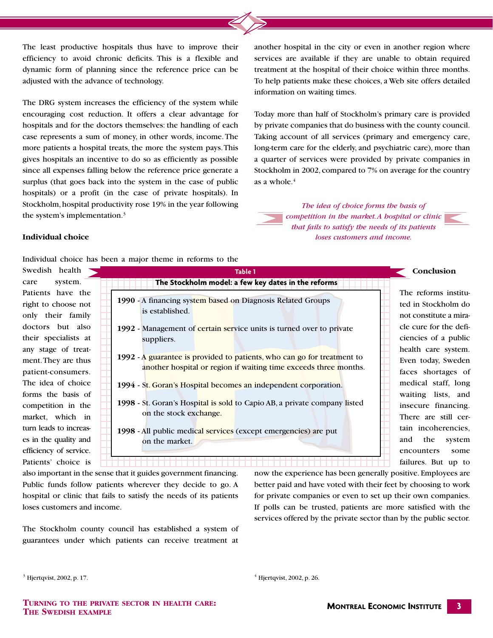The least productive hospitals thus have to improve their efficiency to avoid chronic deficits. This is a flexible and efficiency to avoid chronic deficits. This is a flexible and services are available dynamic form of planning since the reference price can be treatment at the hos adjusted with the advance of technology.

The DRG system increases the efficiency of the system while encouraging cost reduction. It offers a clear advantage for hospitals and for the doctors themselves: the handling of each case represents a sum of money, in other words, income. The more patients a hospital treats, the more the system pays.This gives hospitals an incentive to do so as efficiently as possible since all expenses falling below the reference price generate a surplus (that goes back into the system in the case of public hospitals) or a profit (in the case of private hospitals). In Stockholm, hospital productivity rose 19% in the year following the system's implementation.3

another hospital in the city or even in another region where services are available if they are unable to obtain required treatment at the hospital of their choice within three months. To help patients make these choices, a Web site offers detailed To help patients make these of information on waiting times.

> Today more than half of Stockholm's primary care is provided by private companies that do business with the county council. Taking account of all services (primary and emergency care, long-term care for the elderly, and psychiatric care), more than a quarter of services were provided by private companies in Stockholm in 2002, compared to 7% on average for the country as a whole.4

*The idea of choice forms the basis of competition in the market.A hospital or clinic that fails to satisfy the needs of its patients loses customers and income.*

# **Individual choice**

Individual choice has been a major theme in reforms to the

Swedish health care system. Patients have the right to choose not only their family doctors but also their specialists at any stage of treatment.They are thus patient-consumers. The idea of choice forms the basis of competition in the market, which in turn leads to increases in the quality and efficiency of service. Patients' choice is

|                                                     | <b>Table 1</b>                                                                                                                              |
|-----------------------------------------------------|---------------------------------------------------------------------------------------------------------------------------------------------|
| The Stockholm model: a few key dates in the reforms |                                                                                                                                             |
|                                                     | 1990 - A financing system based on Diagnosis Related Groups<br>is established.                                                              |
|                                                     | 1992 - Management of certain service units is turned over to private<br>suppliers.                                                          |
|                                                     | 1992 - A guarantee is provided to patients, who can go for treatment to<br>another hospital or region if waiting time exceeds three months. |
|                                                     | 1994 - St. Goran's Hospital becomes an independent corporation.                                                                             |
|                                                     | 1998 - St. Goran's Hospital is sold to Capio AB, a private company listed<br>on the stock exchange.                                         |
|                                                     | 1998 - All public medical services (except emergencies) are put<br>on the market.                                                           |

The reforms instituted in Stockholm do not constitute a miracle cure for the deficiencies of a public health care system. Even today, Sweden faces shortages of medical staff, long waiting lists, and insecure financing. There are still certain incoherencies, and the system encounters some failures. But up to

**Conclusion**

also important in the sense that it guides government financing. Public funds follow patients wherever they decide to go. A hospital or clinic that fails to satisfy the needs of its patients loses customers and income.

The Stockholm county council has established a system of guarantees under which patients can receive treatment at now the experience has been generally positive. Employees are better paid and have voted with their feet by choosing to work for private companies or even to set up their own companies. If polls can be trusted, patients are more satisfied with the services offered by the private sector than by the public sector.

**TURNING TO THE PRIVATE SECTOR IN HEALTH CARE: THE SWEDISH EXAMPLE**